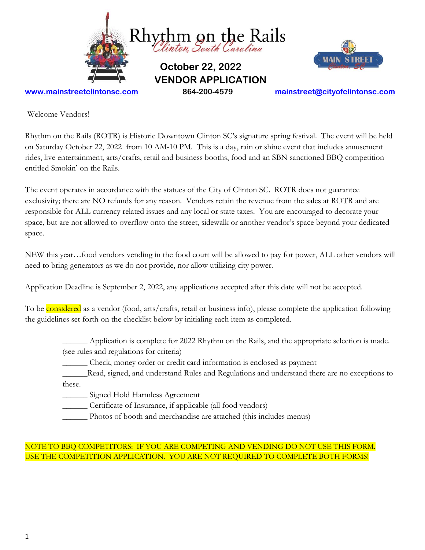

Welcome Vendors!

Rhythm on the Rails (ROTR) is Historic Downtown Clinton SC's signature spring festival. The event will be held on Saturday October 22, 2022 from 10 AM-10 PM. This is a day, rain or shine event that includes amusement rides, live entertainment, arts/crafts, retail and business booths, food and an SBN sanctioned BBQ competition entitled Smokin' on the Rails.

The event operates in accordance with the statues of the City of Clinton SC. ROTR does not guarantee exclusivity; there are NO refunds for any reason. Vendors retain the revenue from the sales at ROTR and are responsible for ALL currency related issues and any local or state taxes. You are encouraged to decorate your space, but are not allowed to overflow onto the street, sidewalk or another vendor's space beyond your dedicated space.

NEW this year…food vendors vending in the food court will be allowed to pay for power, ALL other vendors will need to bring generators as we do not provide, nor allow utilizing city power.

Application Deadline is September 2, 2022, any applications accepted after this date will not be accepted.

To be **considered** as a vendor (food, arts/crafts, retail or business info), please complete the application following the guidelines set forth on the checklist below by initialing each item as completed.

- \_\_\_\_\_\_ Application is complete for 2022 Rhythm on the Rails, and the appropriate selection is made. (see rules and regulations for criteria)
	- \_\_\_\_\_\_ Check, money order or credit card information is enclosed as payment
- \_\_\_\_\_\_Read, signed, and understand Rules and Regulations and understand there are no exceptions to these.

\_\_\_\_\_\_ Signed Hold Harmless Agreement

\_\_\_\_\_\_ Certificate of Insurance, if applicable (all food vendors)

\_\_\_\_\_\_ Photos of booth and merchandise are attached (this includes menus)

## NOTE TO BBQ COMPETITORS: IF YOU ARE COMPETING AND VENDING DO NOT USE THIS FORM. USE THE COMPETITION APPLICATION. YOU ARE NOT REQUIRED TO COMPLETE BOTH FORMS!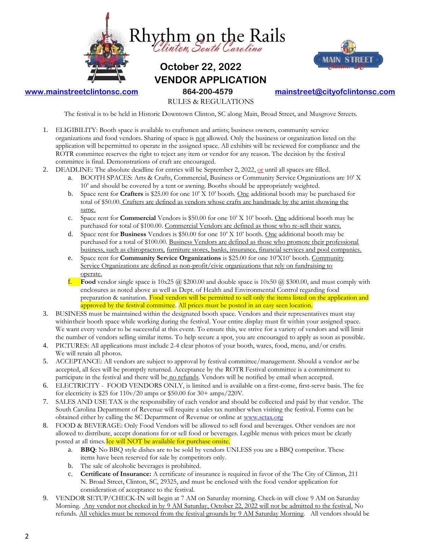



## **[www.mainstreetclintonsc.com](http://www.mainstreetclintonsc.com/) 864-200-4579 [mainstreet@cityofclintonsc.com](mailto:mainstreet@cityofclintonsc.com)**

RULES & REGULATIONS

The festival is to be held in Historic Downtown Clinton, SC along Main, Broad Street, and Musgrove Streets.

- 1. ELIGIBILITY: Booth space is available to craftsmen and artists; business owners, community service organizations and food vendors. Sharing of space is not allowed. Only the business or organization listed on the application will bepermitted to operate in the assigned space. All exhibits will be reviewed for compliance and the ROTR committee reserves the right to reject any item or vendor for any reason. The decision by the festival committee is final. Demonstrations of craft are encouraged.
- 2. DEADLINE: The absolute deadline for entries will be September 2, 2022,  $or$  until all spaces are filled.</u>
	- a. BOOTH SPACES: Arts & Crafts, Commercial, Business or Community Service Organizations are 10' X 10' and should be covered by a tent or awning. Booths should be appropriately weighted.
	- b. Space rent for **Crafters** is \$25.00 for one 10' X 10' booth. One additional booth may be purchased for total of \$50.00. Crafters are defined as vendors whose crafts are handmade by the artist showing the same.
	- c. Space rent for **Commercial** Vendors is \$50.00 for one 10' X 10' booth. One additional booth may be purchased for total of \$100.00. Commercial Vendors are defined as those who re-sell their wares.
	- d. Space rent for **Business** Vendors is \$50.00 for one 10' X 10' booth. One additional booth may be purchased for a total of \$100.00. Business Vendors are defined as those who promote their professional business, such as chiropractors, furniture stores, banks, insurance, financial services and pool companies.
	- e. Space rent for **Community Service Organizations** is \$25.00 for one 10'X10' booth. Community Service Organizations are defined as non-profit/civic organizations that rely on fundraising to operate.
	- **f. Food** vendor single space is  $10x25$  @ \$200.00 and double space is  $10x50$  @ \$300.00, and must comply with enclosures as noted above as well as Dept. of Health and Environmental Control regarding food preparation & sanitation. Food vendors will be permitted to sell only the items listed on the application and approved by the festival committee. All prices must be posted in an easy seen location.
- 3. BUSINESS must be maintained within the designated booth space. Vendors and their representatives must stay withintheir booth space while working during the festival. Your entire display must fit within your assigned space. We want every vendor to be successful at this event. To ensure this, we strive for a variety of vendors and will limit the number of vendors selling similar items. To help secure a spot, you are encouraged to apply as soon as possible.
- 4. PICTURES: All applications must include 2-4 clear photos of your booth, wares, food, menu, and/or crafts. We will retain all photos.
- 5. ACCEPTANCE: All vendors are subject to approval by festival committee/management. Should a vendor *not* be accepted, all fees will be promptly returned. Acceptance by the ROTR Festival committee is a commitment to participate in the festival and there will be no refunds. Vendors will be notified by email when accepted.
- 6. ELECTRICITY FOOD VENDORS ONLY, is limited and is available on a first-come, first-serve basis. The fee for electricity is \$25 for  $110v/20$  amps or \$50.00 for 30+ amps/220V.
- 7. SALES AND USE TAX is the responsibility of each vendor and should be collected and paid by that vendor. The South Carolina Department of Revenue will require a sales tax number when visiting the festival. Forms can be obtained either by calling the SC Department of Revenue or online at [www.sctax.org](http://www.sctax.org/)
- 8. FOOD & BEVERAGE: Only Food Vendors will be allowed to sell food and beverages. Other vendors are not allowed to distribute, accept donations for or sell food or beverages. Legible menus with prices must be clearly posted at all times. Ice will NOT be available for purchase onsite.
	- a. **BBQ**: No BBQ style dishes are to be sold by vendors UNLESS you are a BBQ competitor. These items have been reserved for sale by competitors only.
	- b. The sale of alcoholic beverages is prohibited.
	- c. **Certificate of Insurance:** A certificate of insurance is required in favor of the The City of Clinton, 211 N. Broad Street, Clinton, SC, 29325, and must be enclosed with the food vendor application for consideration of acceptance to the festival.
- 9. VENDOR SETUP/CHECK-IN will begin at 7 AM on Saturday morning. Check-in will close 9 AM on Saturday Morning. Any vendor not checked in by 9 AM Saturday, October 22, 2022 will not be admitted to the festival. No refunds. All vehicles must be removed from the festival grounds by 9 AM Saturday Morning. All vendors should be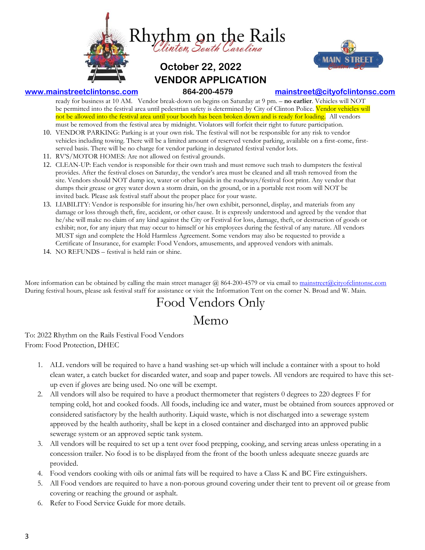



## **[www.mainstreetclintonsc.com](http://www.mainstreetclintonsc.com/) 864-200-4579 [mainstreet@cityofclintonsc.com](mailto:mainstreet@cityofclintonsc.com)**

ready for business at 10 AM. Vendor break-down on begins on Saturday at 9 pm. – **no earlier**. Vehicles will NOT be permitted into the festival area until pedestrian safety is determined by City of Clinton Police. Vendor vehicles will not be allowed into the festival area until your booth has been broken down and is ready for loading. All vendors must be removed from the festival area by midnight. Violators will forfeit their right to future participation.

- 10. VENDOR PARKING: Parking is at your own risk. The festival will not be responsible for any risk to vendor vehicles including towing. There will be a limited amount of reserved vendor parking, available on a first-come, firstserved basis. There will be no charge for vendor parking in designated festival vendor lots.
- 11. RV'S/MOTOR HOMES: Are not allowed on festival grounds.
- 12. CLEAN-UP: Each vendor is responsible for their own trash and must remove such trash to dumpsters the festival provides. After the festival closes on Saturday, the vendor's area must be cleaned and all trash removed from the site. Vendors should NOT dump ice, water or other liquids in the roadways/festival foot print. Any vendor that dumps their grease or grey water down a storm drain, on the ground, or in a portable rest room will NOT be invited back. Please ask festival staff about the proper place for your waste.
- 13. LIABILITY: Vendor is responsible for insuring his/her own exhibit, personnel, display, and materials from any damage or loss through theft, fire, accident, or other cause. It is expressly understood and agreed by the vendor that he/she will make no claim of any kind against the City or Festival for loss, damage, theft, or destruction of goods or exhibit; nor, for any injury that may occur to himself or his employees during the festival of any nature. All vendors MUST sign and complete the Hold Harmless Agreement. Some vendors may also be requested to provide a Certificate of Insurance, for example: Food Vendors, amusements, and approved vendors with animals.
- 14. NO REFUNDS festival is held rain or shine.

More information can be obtained by calling the main street manager  $\omega$  864-200-4579 or via email to mainstreet  $\omega$ cityofclintonsc.com During festival hours, please ask festival staff for assistance or visit the Information Tent on the corner N. Broad and W. Main.

# Food Vendors Only Memo

To: 2022 Rhythm on the Rails Festival Food Vendors From: Food Protection, DHEC

- 1. ALL vendors will be required to have a hand washing set-up which will include a container with a spout to hold clean water, a catch bucket for discarded water, and soap and paper towels. All vendors are required to have this setup even if gloves are being used. No one will be exempt.
- 2. All vendors will also be required to have a product thermometer that registers 0 degrees to 220 degrees F for temping cold, hot and cooked foods. All foods, including ice and water, must be obtained from sources approved or considered satisfactory by the health authority. Liquid waste, which is not discharged into a sewerage system approved by the health authority, shall be kept in a closed container and discharged into an approved public sewerage system or an approved septic tank system.
- 3. All vendors will be required to set up a tent over food prepping, cooking, and serving areas unless operating in a concession trailer. No food is to be displayed from the front of the booth unless adequate sneeze guards are provided.
- 4. Food vendors cooking with oils or animal fats will be required to have a Class K and BC Fire extinguishers.
- 5. All Food vendors are required to have a non-porous ground covering under their tent to prevent oil or grease from covering or reaching the ground or asphalt.
- 6. Refer to Food Service Guide for more details.